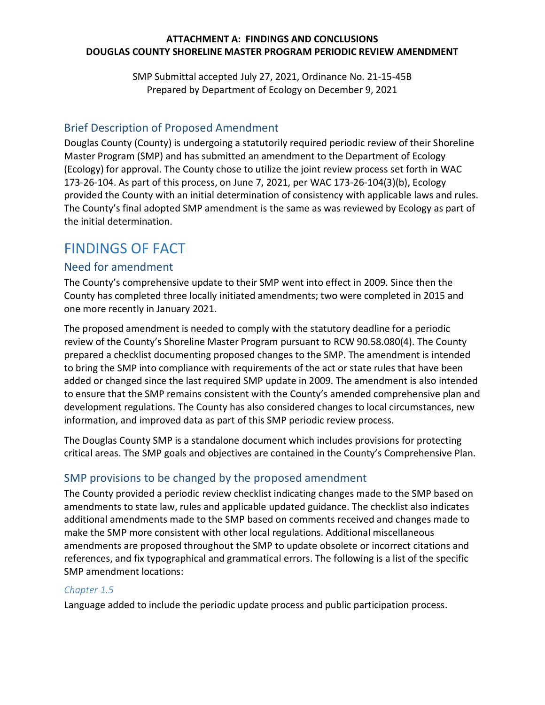## **ATTACHMENT A: FINDINGS AND CONCLUSIONS DOUGLAS COUNTY SHORELINE MASTER PROGRAM PERIODIC REVIEW AMENDMENT**

SMP Submittal accepted July 27, 2021, Ordinance No. 21-15-45B Prepared by Department of Ecology on December 9, 2021

# Brief Description of Proposed Amendment

Douglas County (County) is undergoing a statutorily required periodic review of their Shoreline Master Program (SMP) and has submitted an amendment to the Department of Ecology (Ecology) for approval. The County chose to utilize the joint review process set forth in WAC 173-26-104. As part of this process, on June 7, 2021, per WAC 173-26-104(3)(b), Ecology provided the County with an initial determination of consistency with applicable laws and rules. The County's final adopted SMP amendment is the same as was reviewed by Ecology as part of the initial determination.

# FINDINGS OF FACT

# Need for amendment

The County's comprehensive update to their SMP went into effect in 2009. Since then the County has completed three locally initiated amendments; two were completed in 2015 and one more recently in January 2021.

The proposed amendment is needed to comply with the statutory deadline for a periodic review of the County's Shoreline Master Program pursuant to RCW 90.58.080(4). The County prepared a checklist documenting proposed changes to the SMP. The amendment is intended to bring the SMP into compliance with requirements of the act or state rules that have been added or changed since the last required SMP update in 2009. The amendment is also intended to ensure that the SMP remains consistent with the County's amended comprehensive plan and development regulations. The County has also considered changes to local circumstances, new information, and improved data as part of this SMP periodic review process.

The Douglas County SMP is a standalone document which includes provisions for protecting critical areas. The SMP goals and objectives are contained in the County's Comprehensive Plan.

# SMP provisions to be changed by the proposed amendment

The County provided a periodic review checklist indicating changes made to the SMP based on amendments to state law, rules and applicable updated guidance. The checklist also indicates additional amendments made to the SMP based on comments received and changes made to make the SMP more consistent with other local regulations. Additional miscellaneous amendments are proposed throughout the SMP to update obsolete or incorrect citations and references, and fix typographical and grammatical errors. The following is a list of the specific SMP amendment locations:

# *Chapter 1.5*

Language added to include the periodic update process and public participation process.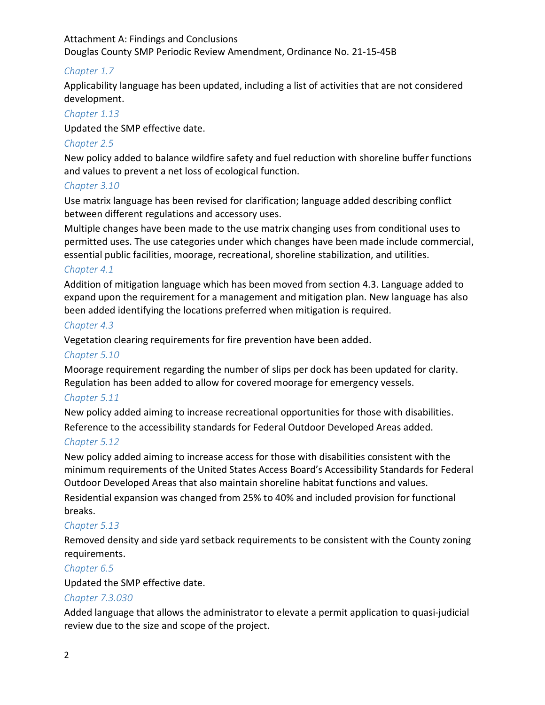#### Attachment A: Findings and Conclusions

Douglas County SMP Periodic Review Amendment, Ordinance No. 21-15-45B

## *Chapter 1.7*

Applicability language has been updated, including a list of activities that are not considered development.

# *Chapter 1.13*

Updated the SMP effective date.

# *Chapter 2.5*

New policy added to balance wildfire safety and fuel reduction with shoreline buffer functions and values to prevent a net loss of ecological function.

# *Chapter 3.10*

Use matrix language has been revised for clarification; language added describing conflict between different regulations and accessory uses.

Multiple changes have been made to the use matrix changing uses from conditional uses to permitted uses. The use categories under which changes have been made include commercial, essential public facilities, moorage, recreational, shoreline stabilization, and utilities.

## *Chapter 4.1*

Addition of mitigation language which has been moved from section 4.3. Language added to expand upon the requirement for a management and mitigation plan. New language has also been added identifying the locations preferred when mitigation is required.

## *Chapter 4.3*

Vegetation clearing requirements for fire prevention have been added.

## *Chapter 5.10*

Moorage requirement regarding the number of slips per dock has been updated for clarity. Regulation has been added to allow for covered moorage for emergency vessels.

## *Chapter 5.11*

New policy added aiming to increase recreational opportunities for those with disabilities. Reference to the accessibility standards for Federal Outdoor Developed Areas added.

## *Chapter 5.12*

New policy added aiming to increase access for those with disabilities consistent with the minimum requirements of the United States Access Board's Accessibility Standards for Federal Outdoor Developed Areas that also maintain shoreline habitat functions and values.

Residential expansion was changed from 25% to 40% and included provision for functional breaks.

## *Chapter 5.13*

Removed density and side yard setback requirements to be consistent with the County zoning requirements.

## *Chapter 6.5*

Updated the SMP effective date.

## *Chapter 7.3.030*

Added language that allows the administrator to elevate a permit application to quasi-judicial review due to the size and scope of the project.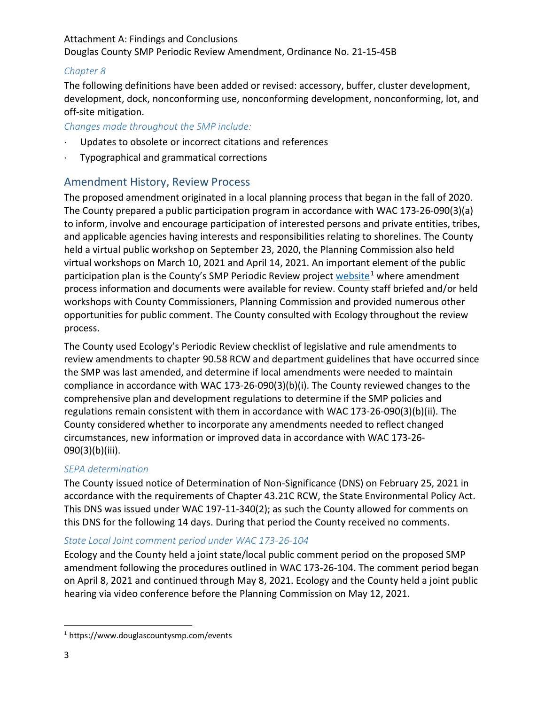# *Chapter 8*

The following definitions have been added or revised: accessory, buffer, cluster development, development, dock, nonconforming use, nonconforming development, nonconforming, lot, and off-site mitigation.

# *Changes made throughout the SMP include:*

- Updates to obsolete or incorrect citations and references
- ⋅ Typographical and grammatical corrections

# Amendment History, Review Process

The proposed amendment originated in a local planning process that began in the fall of 2020. The County prepared a public participation program in accordance with WAC 173-26-090(3)(a) to inform, involve and encourage participation of interested persons and private entities, tribes, and applicable agencies having interests and responsibilities relating to shorelines. The County held a virtual public workshop on September 23, 2020, the Planning Commission also held virtual workshops on March 10, 2021 and April 14, 2021. An important element of the public participation plan is the County's SMP Periodic Review project [website](https://www.douglascountysmp.com/events)<sup>[1](#page-2-0)</sup> where amendment process information and documents were available for review. County staff briefed and/or held workshops with County Commissioners, Planning Commission and provided numerous other opportunities for public comment. The County consulted with Ecology throughout the review process.

The County used Ecology's Periodic Review checklist of legislative and rule amendments to review amendments to chapter 90.58 RCW and department guidelines that have occurred since the SMP was last amended, and determine if local amendments were needed to maintain compliance in accordance with WAC 173-26-090(3)(b)(i). The County reviewed changes to the comprehensive plan and development regulations to determine if the SMP policies and regulations remain consistent with them in accordance with WAC 173-26-090(3)(b)(ii). The County considered whether to incorporate any amendments needed to reflect changed circumstances, new information or improved data in accordance with WAC 173-26- 090(3)(b)(iii).

# *SEPA determination*

The County issued notice of Determination of Non-Significance (DNS) on February 25, 2021 in accordance with the requirements of Chapter 43.21C RCW, the State Environmental Policy Act. This DNS was issued under WAC 197-11-340(2); as such the County allowed for comments on this DNS for the following 14 days. During that period the County received no comments.

# *State Local Joint comment period under WAC 173-26-104*

Ecology and the County held a joint state/local public comment period on the proposed SMP amendment following the procedures outlined in WAC 173-26-104. The comment period began on April 8, 2021 and continued through May 8, 2021. Ecology and the County held a joint public hearing via video conference before the Planning Commission on May 12, 2021.

<span id="page-2-0"></span> <sup>1</sup> https://www.douglascountysmp.com/events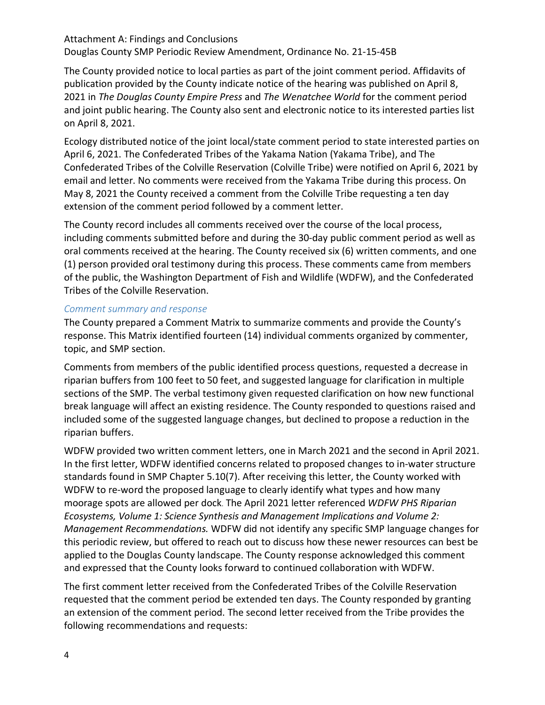The County provided notice to local parties as part of the joint comment period. Affidavits of publication provided by the County indicate notice of the hearing was published on April 8, 2021 in *The Douglas County Empire Press* and *The Wenatchee World* for the comment period and joint public hearing. The County also sent and electronic notice to its interested parties list on April 8, 2021.

Ecology distributed notice of the joint local/state comment period to state interested parties on April 6, 2021. The Confederated Tribes of the Yakama Nation (Yakama Tribe), and The Confederated Tribes of the Colville Reservation (Colville Tribe) were notified on April 6, 2021 by email and letter. No comments were received from the Yakama Tribe during this process. On May 8, 2021 the County received a comment from the Colville Tribe requesting a ten day extension of the comment period followed by a comment letter.

The County record includes all comments received over the course of the local process, including comments submitted before and during the 30-day public comment period as well as oral comments received at the hearing. The County received six (6) written comments, and one (1) person provided oral testimony during this process. These comments came from members of the public, the Washington Department of Fish and Wildlife (WDFW), and the Confederated Tribes of the Colville Reservation.

#### *Comment summary and response*

The County prepared a Comment Matrix to summarize comments and provide the County's response. This Matrix identified fourteen (14) individual comments organized by commenter, topic, and SMP section.

Comments from members of the public identified process questions, requested a decrease in riparian buffers from 100 feet to 50 feet, and suggested language for clarification in multiple sections of the SMP. The verbal testimony given requested clarification on how new functional break language will affect an existing residence. The County responded to questions raised and included some of the suggested language changes, but declined to propose a reduction in the riparian buffers.

WDFW provided two written comment letters, one in March 2021 and the second in April 2021. In the first letter, WDFW identified concerns related to proposed changes to in-water structure standards found in SMP Chapter 5.10(7). After receiving this letter, the County worked with WDFW to re-word the proposed language to clearly identify what types and how many moorage spots are allowed per dock. The April 2021 letter referenced *WDFW PHS Riparian Ecosystems, Volume 1: Science Synthesis and Management Implications and Volume 2: Management Recommendations.* WDFW did not identify any specific SMP language changes for this periodic review, but offered to reach out to discuss how these newer resources can best be applied to the Douglas County landscape. The County response acknowledged this comment and expressed that the County looks forward to continued collaboration with WDFW.

The first comment letter received from the Confederated Tribes of the Colville Reservation requested that the comment period be extended ten days. The County responded by granting an extension of the comment period. The second letter received from the Tribe provides the following recommendations and requests: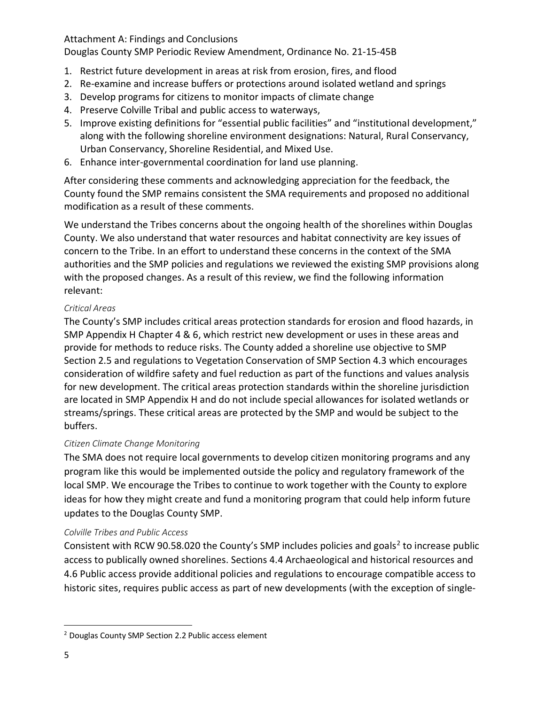Attachment A: Findings and Conclusions

Douglas County SMP Periodic Review Amendment, Ordinance No. 21-15-45B

- 1. Restrict future development in areas at risk from erosion, fires, and flood
- 2. Re-examine and increase buffers or protections around isolated wetland and springs
- 3. Develop programs for citizens to monitor impacts of climate change
- 4. Preserve Colville Tribal and public access to waterways,
- 5. Improve existing definitions for "essential public facilities" and "institutional development," along with the following shoreline environment designations: Natural, Rural Conservancy, Urban Conservancy, Shoreline Residential, and Mixed Use.
- 6. Enhance inter-governmental coordination for land use planning.

After considering these comments and acknowledging appreciation for the feedback, the County found the SMP remains consistent the SMA requirements and proposed no additional modification as a result of these comments.

We understand the Tribes concerns about the ongoing health of the shorelines within Douglas County. We also understand that water resources and habitat connectivity are key issues of concern to the Tribe. In an effort to understand these concerns in the context of the SMA authorities and the SMP policies and regulations we reviewed the existing SMP provisions along with the proposed changes. As a result of this review, we find the following information relevant:

#### *Critical Areas*

The County's SMP includes critical areas protection standards for erosion and flood hazards, in SMP Appendix H Chapter 4 & 6, which restrict new development or uses in these areas and provide for methods to reduce risks. The County added a shoreline use objective to SMP Section 2.5 and regulations to Vegetation Conservation of SMP Section 4.3 which encourages consideration of wildfire safety and fuel reduction as part of the functions and values analysis for new development. The critical areas protection standards within the shoreline jurisdiction are located in SMP Appendix H and do not include special allowances for isolated wetlands or streams/springs. These critical areas are protected by the SMP and would be subject to the buffers.

#### *Citizen Climate Change Monitoring*

The SMA does not require local governments to develop citizen monitoring programs and any program like this would be implemented outside the policy and regulatory framework of the local SMP. We encourage the Tribes to continue to work together with the County to explore ideas for how they might create and fund a monitoring program that could help inform future updates to the Douglas County SMP.

#### *Colville Tribes and Public Access*

Consistent with RCW 90.58.0[2](#page-4-0)0 the County's SMP includes policies and goals<sup>2</sup> to increase public access to publically owned shorelines. Sections 4.4 Archaeological and historical resources and 4.6 Public access provide additional policies and regulations to encourage compatible access to historic sites, requires public access as part of new developments (with the exception of single-

<span id="page-4-0"></span> <sup>2</sup> Douglas County SMP Section 2.2 Public access element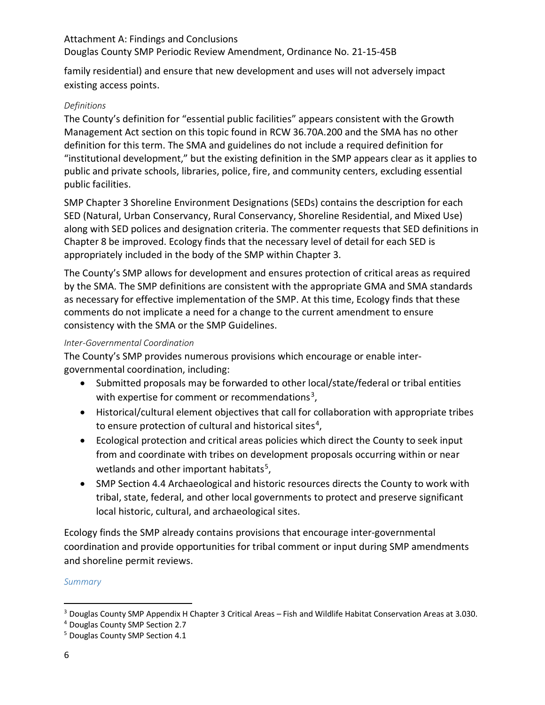family residential) and ensure that new development and uses will not adversely impact existing access points.

## *Definitions*

The County's definition for "essential public facilities" appears consistent with the Growth Management Act section on this topic found in RCW 36.70A.200 and the SMA has no other definition for this term. The SMA and guidelines do not include a required definition for "institutional development," but the existing definition in the SMP appears clear as it applies to public and private schools, libraries, police, fire, and community centers, excluding essential public facilities.

SMP Chapter 3 Shoreline Environment Designations (SEDs) contains the description for each SED (Natural, Urban Conservancy, Rural Conservancy, Shoreline Residential, and Mixed Use) along with SED polices and designation criteria. The commenter requests that SED definitions in Chapter 8 be improved. Ecology finds that the necessary level of detail for each SED is appropriately included in the body of the SMP within Chapter 3.

The County's SMP allows for development and ensures protection of critical areas as required by the SMA. The SMP definitions are consistent with the appropriate GMA and SMA standards as necessary for effective implementation of the SMP. At this time, Ecology finds that these comments do not implicate a need for a change to the current amendment to ensure consistency with the SMA or the SMP Guidelines.

## *Inter-Governmental Coordination*

The County's SMP provides numerous provisions which encourage or enable intergovernmental coordination, including:

- Submitted proposals may be forwarded to other local/state/federal or tribal entities with expertise for comment or recommendations<sup>[3](#page-5-0)</sup>,
- Historical/cultural element objectives that call for collaboration with appropriate tribes to ensure protection of cultural and historical sites<sup>4</sup>,
- Ecological protection and critical areas policies which direct the County to seek input from and coordinate with tribes on development proposals occurring within or near wetlands and other important habitats<sup>[5](#page-5-2)</sup>,
- SMP Section 4.4 Archaeological and historic resources directs the County to work with tribal, state, federal, and other local governments to protect and preserve significant local historic, cultural, and archaeological sites.

Ecology finds the SMP already contains provisions that encourage inter-governmental coordination and provide opportunities for tribal comment or input during SMP amendments and shoreline permit reviews.

## *Summary*

<span id="page-5-0"></span> <sup>3</sup> Douglas County SMP Appendix H Chapter 3 Critical Areas – Fish and Wildlife Habitat Conservation Areas at 3.030.

<span id="page-5-1"></span><sup>4</sup> Douglas County SMP Section 2.7

<span id="page-5-2"></span><sup>5</sup> Douglas County SMP Section 4.1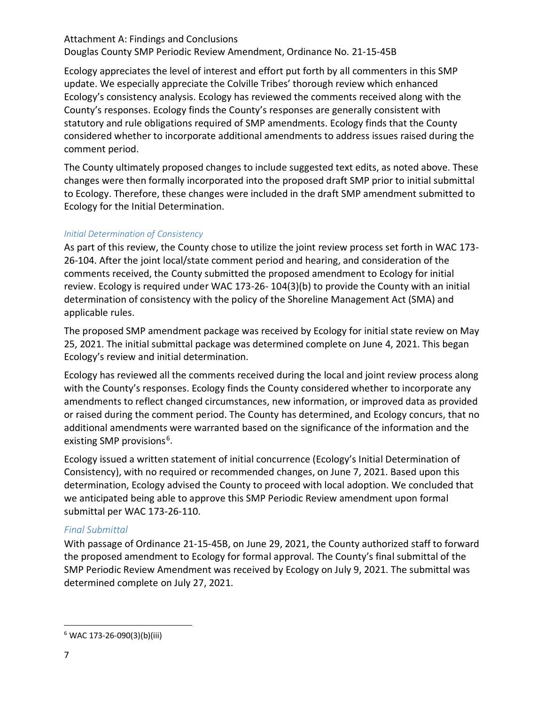# Attachment A: Findings and Conclusions

Douglas County SMP Periodic Review Amendment, Ordinance No. 21-15-45B

Ecology appreciates the level of interest and effort put forth by all commenters in this SMP update. We especially appreciate the Colville Tribes' thorough review which enhanced Ecology's consistency analysis. Ecology has reviewed the comments received along with the County's responses. Ecology finds the County's responses are generally consistent with statutory and rule obligations required of SMP amendments. Ecology finds that the County considered whether to incorporate additional amendments to address issues raised during the comment period.

The County ultimately proposed changes to include suggested text edits, as noted above. These changes were then formally incorporated into the proposed draft SMP prior to initial submittal to Ecology. Therefore, these changes were included in the draft SMP amendment submitted to Ecology for the Initial Determination.

#### *Initial Determination of Consistency*

As part of this review, the County chose to utilize the joint review process set forth in WAC 173- 26-104. After the joint local/state comment period and hearing, and consideration of the comments received, the County submitted the proposed amendment to Ecology for initial review. Ecology is required under WAC 173-26- 104(3)(b) to provide the County with an initial determination of consistency with the policy of the Shoreline Management Act (SMA) and applicable rules.

The proposed SMP amendment package was received by Ecology for initial state review on May 25, 2021. The initial submittal package was determined complete on June 4, 2021. This began Ecology's review and initial determination.

Ecology has reviewed all the comments received during the local and joint review process along with the County's responses. Ecology finds the County considered whether to incorporate any amendments to reflect changed circumstances, new information, or improved data as provided or raised during the comment period. The County has determined, and Ecology concurs, that no additional amendments were warranted based on the significance of the information and the existing SMP provisions<sup>[6](#page-6-0)</sup>.

Ecology issued a written statement of initial concurrence (Ecology's Initial Determination of Consistency), with no required or recommended changes, on June 7, 2021. Based upon this determination, Ecology advised the County to proceed with local adoption. We concluded that we anticipated being able to approve this SMP Periodic Review amendment upon formal submittal per WAC 173-26-110.

# *Final Submittal*

With passage of Ordinance 21-15-45B, on June 29, 2021, the County authorized staff to forward the proposed amendment to Ecology for formal approval. The County's final submittal of the SMP Periodic Review Amendment was received by Ecology on July 9, 2021. The submittal was determined complete on July 27, 2021.

<span id="page-6-0"></span> $6$  WAC 173-26-090(3)(b)(iii)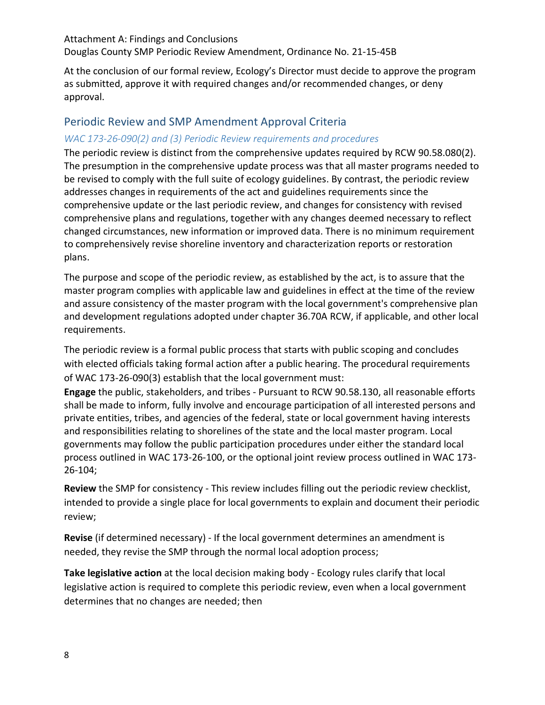At the conclusion of our formal review, Ecology's Director must decide to approve the program as submitted, approve it with required changes and/or recommended changes, or deny approval.

# Periodic Review and SMP Amendment Approval Criteria

### *WAC 173-26-090(2) and (3) Periodic Review requirements and procedures*

The periodic review is distinct from the comprehensive updates required by RCW [90.58.080\(](http://app.leg.wa.gov/RCW/default.aspx?cite=90.58.080)2). The presumption in the comprehensive update process was that all master programs needed to be revised to comply with the full suite of ecology guidelines. By contrast, the periodic review addresses changes in requirements of the act and guidelines requirements since the comprehensive update or the last periodic review, and changes for consistency with revised comprehensive plans and regulations, together with any changes deemed necessary to reflect changed circumstances, new information or improved data. There is no minimum requirement to comprehensively revise shoreline inventory and characterization reports or restoration plans.

The purpose and scope of the periodic review, as established by the act, is to assure that the master program complies with applicable law and guidelines in effect at the time of the review and assure consistency of the master program with the local government's comprehensive plan and development regulations adopted under chapter 36.70A RCW, if applicable, and other local requirements.

The periodic review is a formal public process that starts with public scoping and concludes with elected officials taking formal action after a public hearing. The procedural requirements of WAC 173-26-090(3) establish that the local government must:

**Engage** the public, stakeholders, and tribes - Pursuant to RCW [90.58.130,](http://app.leg.wa.gov/RCW/default.aspx?cite=90.58.130) all reasonable efforts shall be made to inform, fully involve and encourage participation of all interested persons and private entities, tribes, and agencies of the federal, state or local government having interests and responsibilities relating to shorelines of the state and the local master program. Local governments may follow the public participation procedures under either the standard local process outlined in WAC [173-26-100,](https://apps.leg.wa.gov/WAC/default.aspx?cite=173-26-100) or the optional joint review process outlined in WAC [173-](https://apps.leg.wa.gov/WAC/default.aspx?cite=173-26-104) [26-104;](https://apps.leg.wa.gov/WAC/default.aspx?cite=173-26-104)

**Review** the SMP for consistency - This review includes filling out the periodic review checklist, intended to provide a single place for local governments to explain and document their periodic review;

**Revise** (if determined necessary) - If the local government determines an amendment is needed, they revise the SMP through the normal local adoption process;

**Take legislative action** at the local decision making body - Ecology rules clarify that local legislative action is required to complete this periodic review, even when a local government determines that no changes are needed; then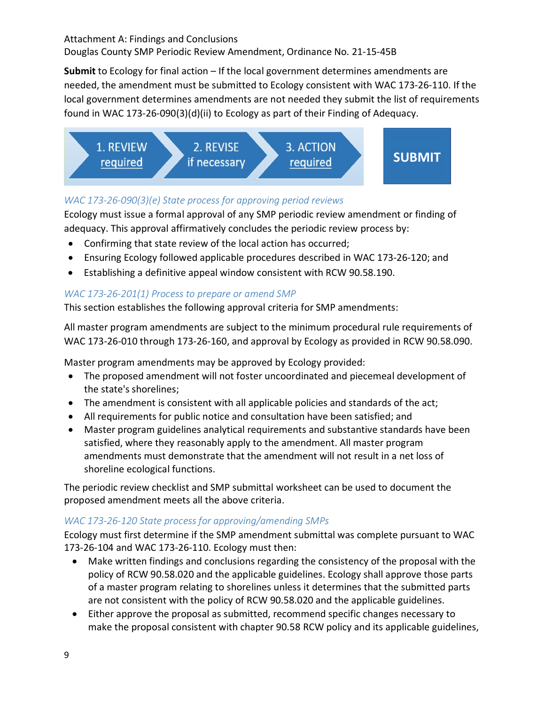**Submit** to Ecology for final action – If the local government determines amendments are needed, the amendment must be submitted to Ecology consistent with WAC [173-26-110.](https://apps.leg.wa.gov/WAC/default.aspx?cite=173-26-110) If the local government determines amendments are not needed they submit the list of requirements found in WAC 173-26-090(3)(d)(ii) to Ecology as part of their Finding of Adequacy.



# *WAC 173-26-090(3)(e) State process for approving period reviews*

Ecology must issue a formal approval of any SMP periodic review amendment or finding of adequacy. This approval affirmatively concludes the periodic review process by:

- Confirming that state review of the local action has occurred;
- Ensuring Ecology followed applicable procedures described in WAC 173-26-120; and
- Establishing a definitive appeal window consistent with RCW [90.58.190.](http://app.leg.wa.gov/RCW/default.aspx?cite=90.58.190)

# *WAC 173-26-201(1) Process to prepare or amend SMP*

This section establishes the following approval criteria for SMP amendments:

All master program amendments are subject to the minimum procedural rule requirements of WAC 173-26-010 through 173-26-160, and approval by Ecology as provided in RCW 90.58.090.

Master program amendments may be approved by Ecology provided:

- The proposed amendment will not foster uncoordinated and piecemeal development of the state's shorelines;
- The amendment is consistent with all applicable policies and standards of the act;
- All requirements for public notice and consultation have been satisfied; and
- Master program guidelines analytical requirements and substantive standards have been satisfied, where they reasonably apply to the amendment. All master program amendments must demonstrate that the amendment will not result in a net loss of shoreline ecological functions.

The periodic review checklist and SMP submittal worksheet can be used to document the proposed amendment meets all the above criteria.

# *WAC 173-26-120 State process for approving/amending SMPs*

Ecology must first determine if the SMP amendment submittal was complete pursuant to WAC 173-26-104 and WAC 173-26-110. Ecology must then:

- Make written findings and conclusions regarding the consistency of the proposal with the policy of RCW 90.58.020 and the applicable guidelines. Ecology shall approve those parts of a master program relating to shorelines unless it determines that the submitted parts are not consistent with the policy of RCW [90.58.020](http://app.leg.wa.gov/RCW/default.aspx?cite=90.58.020) and the applicable guidelines.
- Either approve the proposal as submitted, recommend specific changes necessary to make the proposal consistent with chapter [90.58](http://app.leg.wa.gov/RCW/default.aspx?cite=90.58) RCW policy and its applicable guidelines,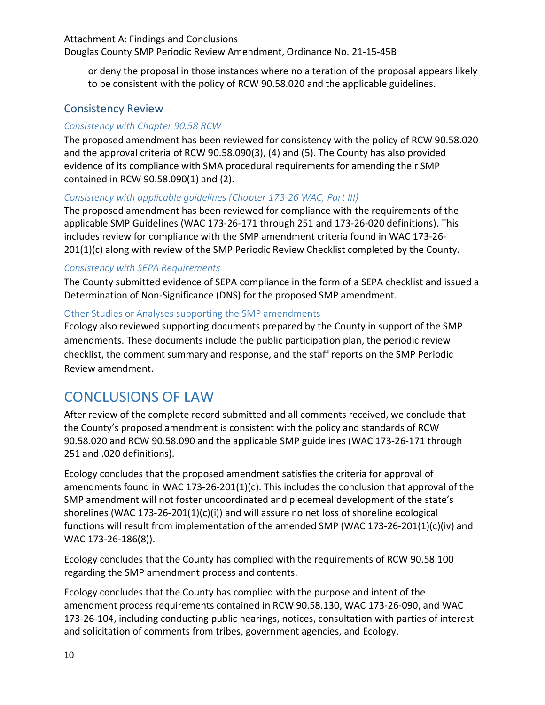or deny the proposal in those instances where no alteration of the proposal appears likely to be consistent with the policy of RCW [90.58.020](http://app.leg.wa.gov/RCW/default.aspx?cite=90.58.020) and the applicable guidelines.

# Consistency Review

# *Consistency with Chapter 90.58 RCW*

The proposed amendment has been reviewed for consistency with the policy of RCW 90.58.020 and the approval criteria of RCW 90.58.090(3), (4) and (5). The County has also provided evidence of its compliance with SMA procedural requirements for amending their SMP contained in RCW 90.58.090(1) and (2).

## *Consistency with applicable guidelines (Chapter 173-26 WAC, Part III)*

The proposed amendment has been reviewed for compliance with the requirements of the applicable SMP Guidelines (WAC 173-26-171 through 251 and 173-26-020 definitions). This includes review for compliance with the SMP amendment criteria found in WAC 173-26- 201(1)(c) along with review of the SMP Periodic Review Checklist completed by the County.

#### *Consistency with SEPA Requirements*

The County submitted evidence of SEPA compliance in the form of a SEPA checklist and issued a Determination of Non-Significance (DNS) for the proposed SMP amendment.

## Other Studies or Analyses supporting the SMP amendments

Ecology also reviewed supporting documents prepared by the County in support of the SMP amendments. These documents include the public participation plan, the periodic review checklist, the comment summary and response, and the staff reports on the SMP Periodic Review amendment.

# CONCLUSIONS OF LAW

After review of the complete record submitted and all comments received, we conclude that the County's proposed amendment is consistent with the policy and standards of RCW 90.58.020 and RCW 90.58.090 and the applicable SMP guidelines (WAC 173-26-171 through 251 and .020 definitions).

Ecology concludes that the proposed amendment satisfies the criteria for approval of amendments found in WAC 173-26-201(1)(c). This includes the conclusion that approval of the SMP amendment will not foster uncoordinated and piecemeal development of the state's shorelines (WAC 173-26-201(1)(c)(i)) and will assure no net loss of shoreline ecological functions will result from implementation of the amended SMP (WAC 173-26-201(1)(c)(iv) and WAC 173-26-186(8)).

Ecology concludes that the County has complied with the requirements of RCW 90.58.100 regarding the SMP amendment process and contents.

Ecology concludes that the County has complied with the purpose and intent of the amendment process requirements contained in RCW 90.58.130, WAC 173-26-090, and WAC 173-26-104, including conducting public hearings, notices, consultation with parties of interest and solicitation of comments from tribes, government agencies, and Ecology.